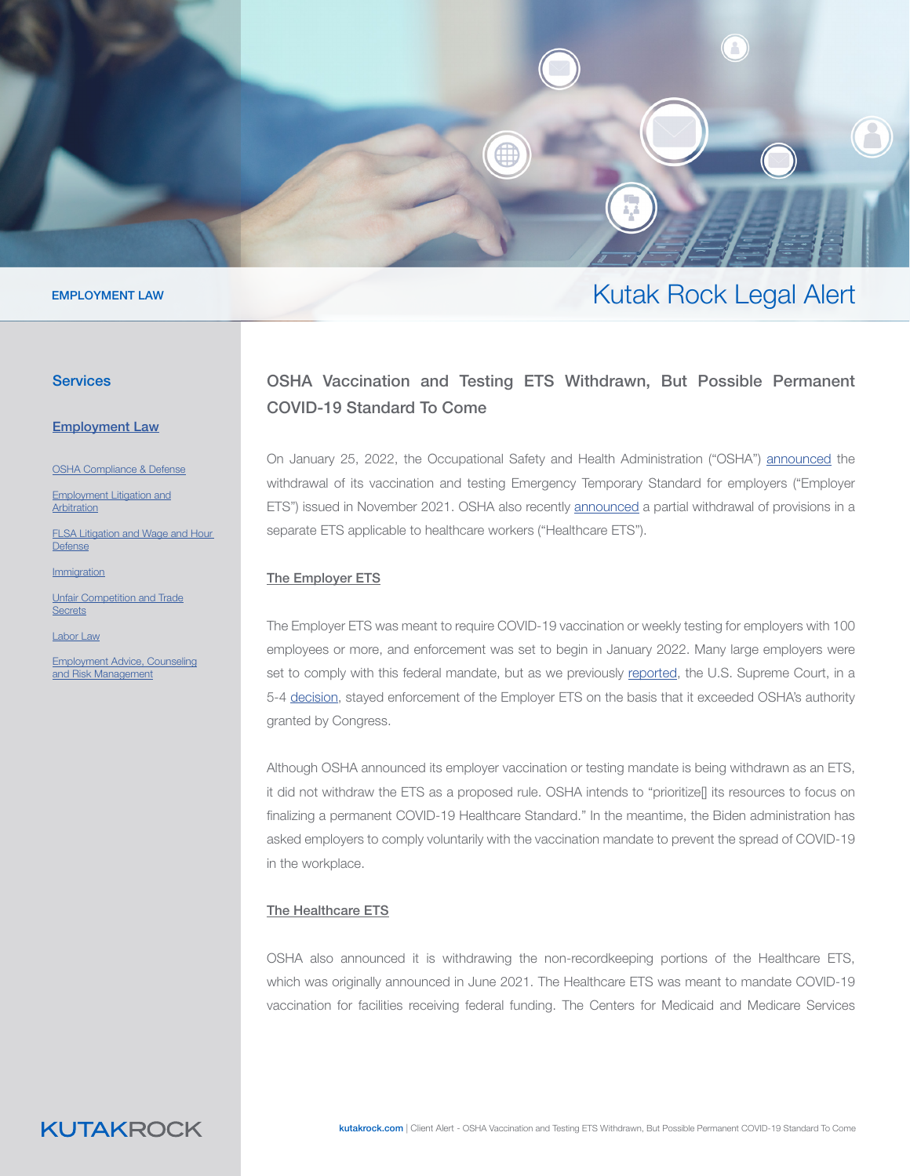

#### EMPLOYMENT LAW

#### **Services**

[Employ](https://www.kutakrock.com/services/practices/employment-law)ment Law

OSHA Compl[ia](https://www.kutakrock.com/services/practices/employment-law/osha-compliance-and-defense)nce & Defense

[Employment Litigation and](https://www.kutakrock.com/services/practices/employment-law/employment-litigation-and-arbitration) [Arbitration](https://www.kutakrock.com/services/practices/employment-law/employment-litigation-and-arbitration)

[FLSA Litigation and Wage and Hour](https://www.kutakrock.com/services/practices/employment-law/flsa-wage-and-hour-litigation)  [Defense](https://www.kutakrock.com/services/practices/employment-law/flsa-wage-and-hour-litigation)

**[Immigration](https://www.kutakrock.com/services/practices/employment-law/immigration)** 

[Unfair Competition and Trade](https://www.kutakrock.com/services/practices/employment-law/unfair-competition-and-trade-secrets) **[Secrets](https://www.kutakrock.com/services/practices/employment-law/unfair-competition-and-trade-secrets)** 

[Labor Law](https://www.kutakrock.com/services/practices/employment-law/labor-law)

[Employment Advice, Counseling](https://www.kutakrock.com/services/practices/employment-law/employment-advice-counseling-and-risk-management) [and Risk Management](https://www.kutakrock.com/services/practices/employment-law/employment-advice-counseling-and-risk-management)

## OSHA Vaccination and Testing ETS Withdrawn, But Possible Permanent COVID-19 Standard To Come

Kutak Rock Legal Alert

On January 25, 2022, the Occupational Safety and Health Administration ("OSHA") [announced](https://www.osha.gov/coronavirus/ets2#:~:text=Although%20OSHA%20is%20withdrawing%20the,permanent%20COVID%2D19%20Healthcare%20Standard.) the withdrawal of its vaccination and testing Emergency Temporary Standard for employers ("Employer ETS") issued in November 2021. OSHA also recently [announced](https://www.osha.gov/coronavirus/ets) a partial withdrawal of provisions in a separate ETS applicable to healthcare workers ("Healthcare ETS").

#### The Employer ETS

The Employer ETS was meant to require COVID-19 vaccination or weekly testing for employers with 100 employees or more, and enforcement was set to begin in January 2022. Many large employers were set to comply with this federal mandate, but as we previously [reported,](https://www.kutakrock.com/newspublications/publications/2022/01/ussupremecourt-blocks-vaccine-mandate) the U.S. Supreme Court, in a 5-4 [decision,](https://www.supremecourt.gov/opinions/21pdf/21a240_d18e.pdf) stayed enforcement of the Employer ETS on the basis that it exceeded OSHA's authority granted by Congress.

Although OSHA announced its employer vaccination or testing mandate is being withdrawn as an ETS, it did not withdraw the ETS as a proposed rule. OSHA intends to "prioritizel] its resources to focus on finalizing a permanent COVID-19 Healthcare Standard." In the meantime, the Biden administration has asked employers to comply voluntarily with the vaccination mandate to prevent the spread of COVID-19 in the workplace.

### The Healthcare ETS

OSHA also announced it is withdrawing the non-recordkeeping portions of the Healthcare ETS, which was originally announced in June 2021. The Healthcare ETS was meant to mandate COVID-19 vaccination for facilities receiving federal funding. The Centers for Medicaid and Medicare Services

**KUTAKROCK**